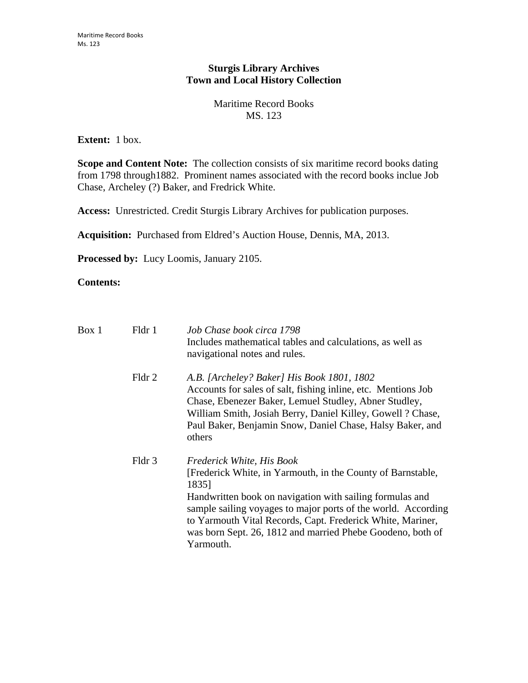## **Sturgis Library Archives Town and Local History Collection**

## Maritime Record Books MS. 123

## **Extent:** 1 box.

**Scope and Content Note:** The collection consists of six maritime record books dating from 1798 through1882. Prominent names associated with the record books inclue Job Chase, Archeley (?) Baker, and Fredrick White.

**Access:** Unrestricted. Credit Sturgis Library Archives for publication purposes.

**Acquisition:** Purchased from Eldred's Auction House, Dennis, MA, 2013.

**Processed by:** Lucy Loomis, January 2105.

## **Contents:**

| Box 1 | Fldr 1 | Job Chase book circa 1798<br>Includes mathematical tables and calculations, as well as<br>navigational notes and rules.                                                                                                                                                                                                                                                 |
|-------|--------|-------------------------------------------------------------------------------------------------------------------------------------------------------------------------------------------------------------------------------------------------------------------------------------------------------------------------------------------------------------------------|
|       | Fldr 2 | A.B. [Archeley? Baker] His Book 1801, 1802<br>Accounts for sales of salt, fishing inline, etc. Mentions Job<br>Chase, Ebenezer Baker, Lemuel Studley, Abner Studley,<br>William Smith, Josiah Berry, Daniel Killey, Gowell ? Chase,<br>Paul Baker, Benjamin Snow, Daniel Chase, Halsy Baker, and<br>others                                                              |
|       | Fldr 3 | Frederick White, His Book<br>[Frederick White, in Yarmouth, in the County of Barnstable,<br>1835]<br>Handwritten book on navigation with sailing formulas and<br>sample sailing voyages to major ports of the world. According<br>to Yarmouth Vital Records, Capt. Frederick White, Mariner,<br>was born Sept. 26, 1812 and married Phebe Goodeno, both of<br>Yarmouth. |